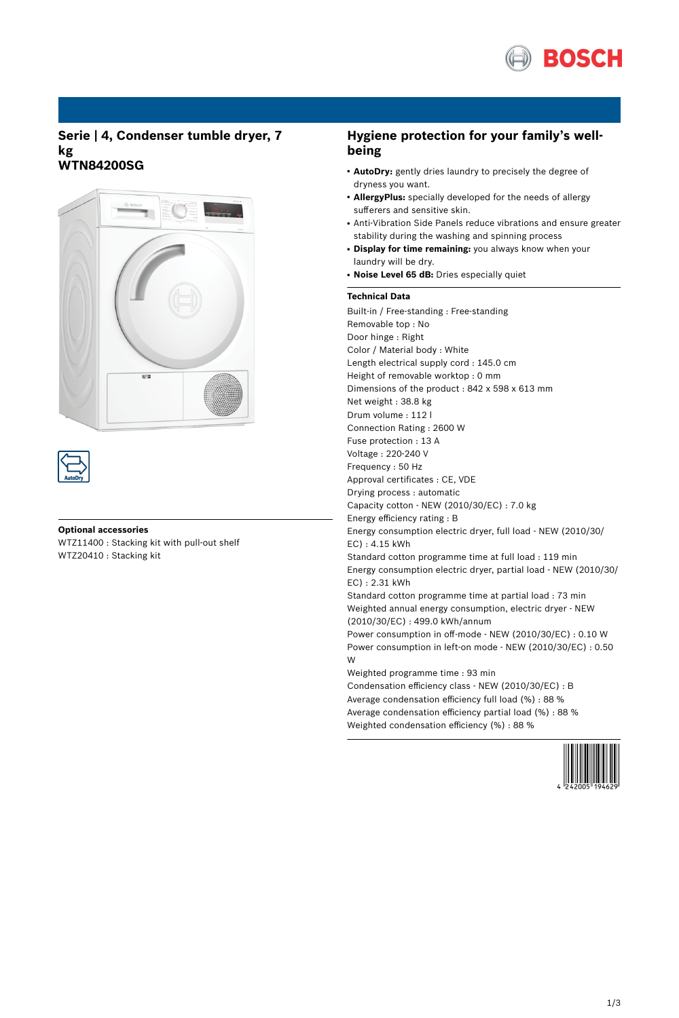

# **Serie | 4, Condenser tumble dryer, 7 kg WTN84200SG**



### **Optional accessories**

WTZ11400 : Stacking kit with pull-out shelf WTZ20410 : Stacking kit

# **Hygiene protection for your family's wellbeing**

- AutoDry: gently dries laundry to precisely the degree of dryness you want.
- **AllergyPlus:** specially developed for the needs of allergy sufferers and sensitive skin.
- Anti-Vibration Side Panels reduce vibrations and ensure greater stability during the washing and spinning process
- **Display for time remaining:** you always know when your laundry will be dry.
- **Noise Level 65 dB:** Dries especially quiet

## **Technical Data**

Built-in / Free-standing : Free-standing Removable top : No Door hinge : Right Color / Material body : White Length electrical supply cord : 145.0 cm Height of removable worktop : 0 mm Dimensions of the product : 842 x 598 x 613 mm Net weight : 38.8 kg Drum volume : 112 l Connection Rating : 2600 W Fuse protection : 13 A Voltage : 220-240 V Frequency : 50 Hz Approval certificates : CE, VDE Drying process : automatic Capacity cotton - NEW (2010/30/EC) : 7.0 kg Energy efficiency rating : B Energy consumption electric dryer, full load - NEW (2010/30/ EC) : 4.15 kWh Standard cotton programme time at full load : 119 min Energy consumption electric dryer, partial load - NEW (2010/30/ EC) : 2.31 kWh Standard cotton programme time at partial load : 73 min Weighted annual energy consumption, electric dryer - NEW (2010/30/EC) : 499.0 kWh/annum Power consumption in off-mode - NEW (2010/30/EC) : 0.10 W Power consumption in left-on mode - NEW (2010/30/EC) : 0.50 W Weighted programme time : 93 min Condensation efficiency class - NEW (2010/30/EC) : B Average condensation efficiency full load (%) : 88 % Average condensation efficiency partial load (%) : 88 %

Weighted condensation efficiency (%) : 88 %

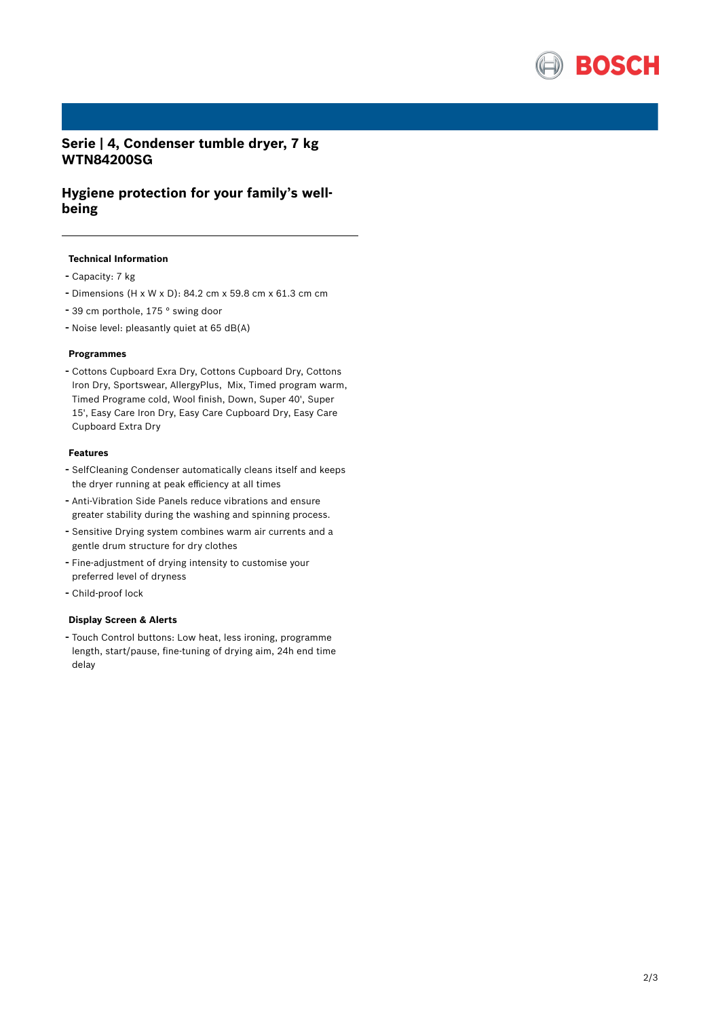

# **Serie | 4, Condenser tumble dryer, 7 kg WTN84200SG**

# **Hygiene protection for your family's wellbeing**

## **Technical Information**

- Capacity: <sup>7</sup> kg
- Dimensions (H x W x D): 84.2 cm x 59.8 cm x 61.3 cm cm
- <sup>39</sup> cm porthole, <sup>175</sup> ° swing door
- Noise level: pleasantly quiet at <sup>65</sup> dB(A)

## **Programmes**

- Cottons Cupboard Exra Dry, Cottons Cupboard Dry, Cottons Iron Dry, Sportswear, AllergyPlus, Mix, Timed program warm, Timed Programe cold, Wool finish, Down, Super 40', Super 15', Easy Care Iron Dry, Easy Care Cupboard Dry, Easy Care Cupboard Extra Dry

### **Features**

- SelfCleaning Condenser automatically cleans itself and keeps the dryer running at peak efficiency at all times
- Anti-Vibration Side Panels reduce vibrations and ensure greater stability during the washing and spinning process.
- Sensitive Drying system combines warm air currents and <sup>a</sup> gentle drum structure for dry clothes
- Fine-adjustment of drying intensity to customise your preferred level of dryness
- Child-proof lock

### **Display Screen & Alerts**

- Touch Control buttons: Low heat, less ironing, programme length, start/pause, fine-tuning of drying aim, 24h end time delay